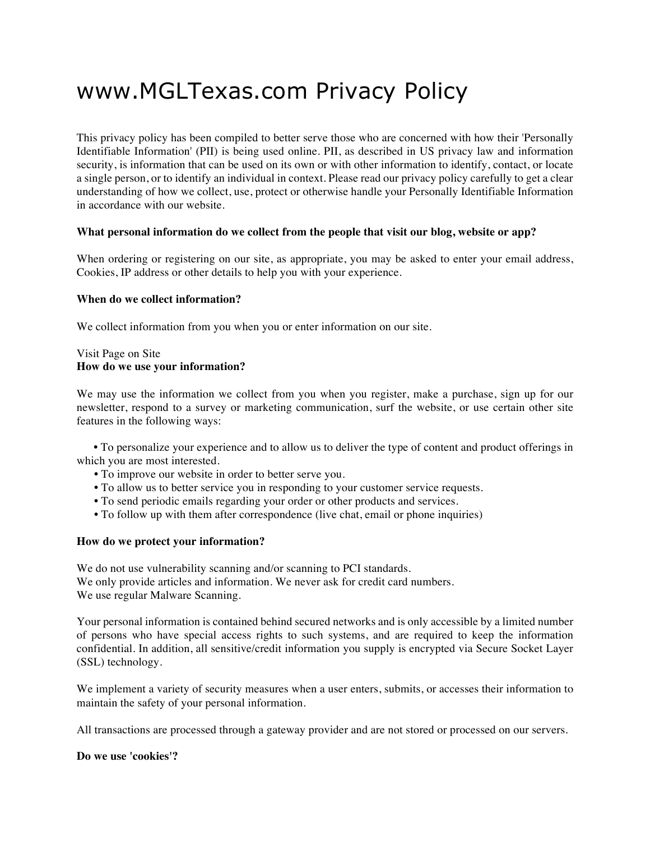# www.MGLTexas.com Privacy Policy

This privacy policy has been compiled to better serve those who are concerned with how their 'Personally Identifiable Information' (PII) is being used online. PII, as described in US privacy law and information security, is information that can be used on its own or with other information to identify, contact, or locate a single person, or to identify an individual in context. Please read our privacy policy carefully to get a clear understanding of how we collect, use, protect or otherwise handle your Personally Identifiable Information in accordance with our website.

#### **What personal information do we collect from the people that visit our blog, website or app?**

When ordering or registering on our site, as appropriate, you may be asked to enter your email address, Cookies, IP address or other details to help you with your experience.

#### **When do we collect information?**

We collect information from you when you or enter information on our site.

#### Visit Page on Site **How do we use your information?**

We may use the information we collect from you when you register, make a purchase, sign up for our newsletter, respond to a survey or marketing communication, surf the website, or use certain other site features in the following ways:

 **•** To personalize your experience and to allow us to deliver the type of content and product offerings in which you are most interested.

- **•** To improve our website in order to better serve you.
- **•** To allow us to better service you in responding to your customer service requests.
- **•** To send periodic emails regarding your order or other products and services.
- To follow up with them after correspondence (live chat, email or phone inquiries)

#### **How do we protect your information?**

We do not use vulnerability scanning and/or scanning to PCI standards. We only provide articles and information. We never ask for credit card numbers. We use regular Malware Scanning.

Your personal information is contained behind secured networks and is only accessible by a limited number of persons who have special access rights to such systems, and are required to keep the information confidential. In addition, all sensitive/credit information you supply is encrypted via Secure Socket Layer (SSL) technology.

We implement a variety of security measures when a user enters, submits, or accesses their information to maintain the safety of your personal information.

All transactions are processed through a gateway provider and are not stored or processed on our servers.

#### **Do we use 'cookies'?**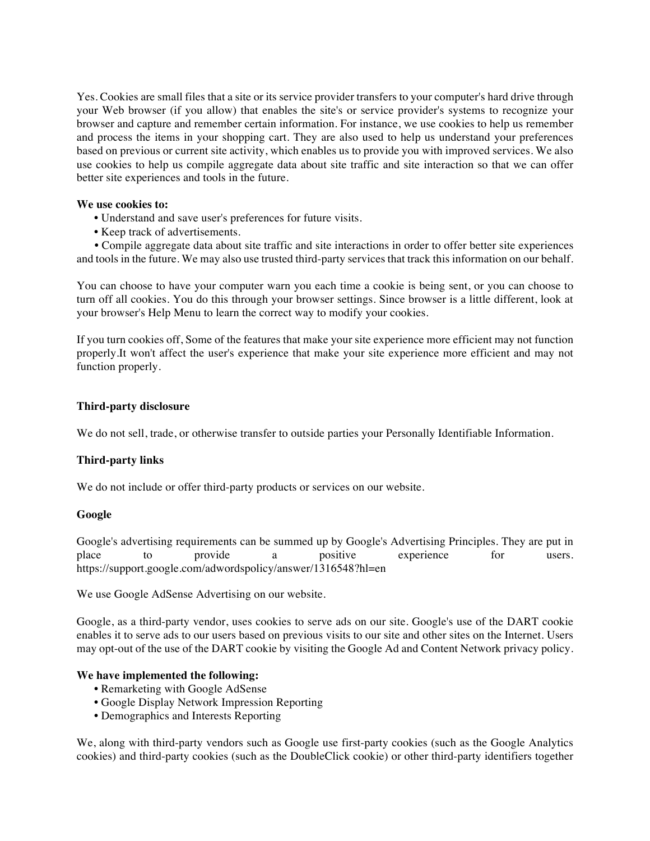Yes. Cookies are small files that a site or its service provider transfers to your computer's hard drive through your Web browser (if you allow) that enables the site's or service provider's systems to recognize your browser and capture and remember certain information. For instance, we use cookies to help us remember and process the items in your shopping cart. They are also used to help us understand your preferences based on previous or current site activity, which enables us to provide you with improved services. We also use cookies to help us compile aggregate data about site traffic and site interaction so that we can offer better site experiences and tools in the future.

#### **We use cookies to:**

- **•** Understand and save user's preferences for future visits.
- **•** Keep track of advertisements.

 **•** Compile aggregate data about site traffic and site interactions in order to offer better site experiences and tools in the future. We may also use trusted third-party services that track this information on our behalf.

You can choose to have your computer warn you each time a cookie is being sent, or you can choose to turn off all cookies. You do this through your browser settings. Since browser is a little different, look at your browser's Help Menu to learn the correct way to modify your cookies.

If you turn cookies off, Some of the features that make your site experience more efficient may not function properly.It won't affect the user's experience that make your site experience more efficient and may not function properly.

# **Third-party disclosure**

We do not sell, trade, or otherwise transfer to outside parties your Personally Identifiable Information.

# **Third-party links**

We do not include or offer third-party products or services on our website.

# **Google**

Google's advertising requirements can be summed up by Google's Advertising Principles. They are put in place to provide a positive experience for users. place to provide a positive experience for users. https://support.google.com/adwordspolicy/answer/1316548?hl=en

We use Google AdSense Advertising on our website.

Google, as a third-party vendor, uses cookies to serve ads on our site. Google's use of the DART cookie enables it to serve ads to our users based on previous visits to our site and other sites on the Internet. Users may opt-out of the use of the DART cookie by visiting the Google Ad and Content Network privacy policy.

# **We have implemented the following:**

- **•** Remarketing with Google AdSense
- **•** Google Display Network Impression Reporting
- **•** Demographics and Interests Reporting

We, along with third-party vendors such as Google use first-party cookies (such as the Google Analytics cookies) and third-party cookies (such as the DoubleClick cookie) or other third-party identifiers together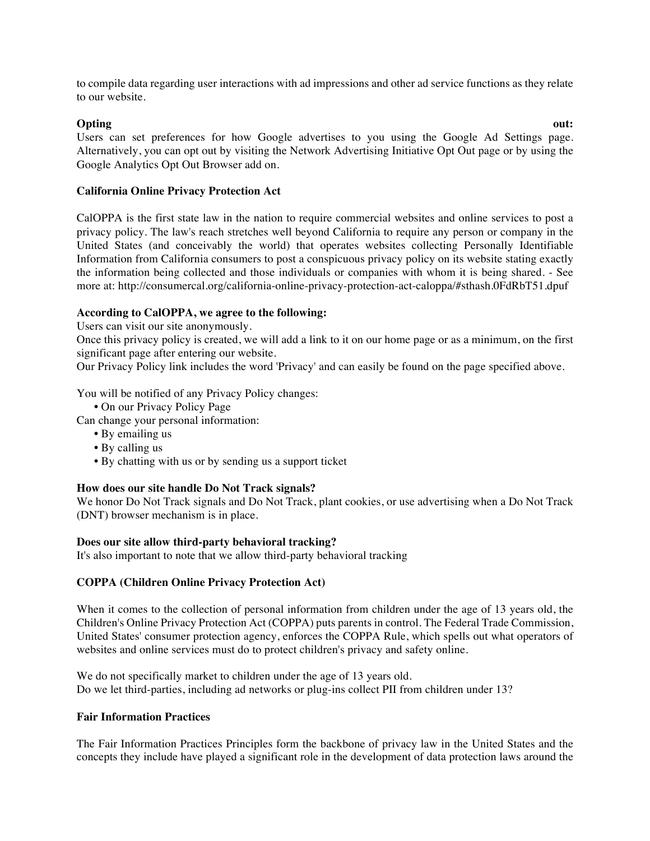to compile data regarding user interactions with ad impressions and other ad service functions as they relate to our website.

**Opting out:** Users can set preferences for how Google advertises to you using the Google Ad Settings page. Alternatively, you can opt out by visiting the Network Advertising Initiative Opt Out page or by using the Google Analytics Opt Out Browser add on.

# **California Online Privacy Protection Act**

CalOPPA is the first state law in the nation to require commercial websites and online services to post a privacy policy. The law's reach stretches well beyond California to require any person or company in the United States (and conceivably the world) that operates websites collecting Personally Identifiable Information from California consumers to post a conspicuous privacy policy on its website stating exactly the information being collected and those individuals or companies with whom it is being shared. - See more at: http://consumercal.org/california-online-privacy-protection-act-caloppa/#sthash.0FdRbT51.dpuf

# **According to CalOPPA, we agree to the following:**

Users can visit our site anonymously.

Once this privacy policy is created, we will add a link to it on our home page or as a minimum, on the first significant page after entering our website.

Our Privacy Policy link includes the word 'Privacy' and can easily be found on the page specified above.

You will be notified of any Privacy Policy changes:

**•** On our Privacy Policy Page

Can change your personal information:

- **•** By emailing us
- **•** By calling us
- **•** By chatting with us or by sending us a support ticket

# **How does our site handle Do Not Track signals?**

We honor Do Not Track signals and Do Not Track, plant cookies, or use advertising when a Do Not Track (DNT) browser mechanism is in place.

# **Does our site allow third-party behavioral tracking?**

It's also important to note that we allow third-party behavioral tracking

# **COPPA (Children Online Privacy Protection Act)**

When it comes to the collection of personal information from children under the age of 13 years old, the Children's Online Privacy Protection Act (COPPA) puts parents in control. The Federal Trade Commission, United States' consumer protection agency, enforces the COPPA Rule, which spells out what operators of websites and online services must do to protect children's privacy and safety online.

We do not specifically market to children under the age of 13 years old. Do we let third-parties, including ad networks or plug-ins collect PII from children under 13?

# **Fair Information Practices**

The Fair Information Practices Principles form the backbone of privacy law in the United States and the concepts they include have played a significant role in the development of data protection laws around the